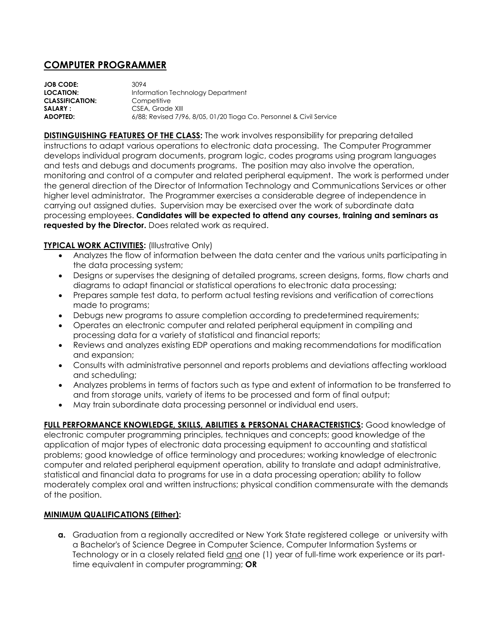## **COMPUTER PROGRAMMER**

| <b>JOB CODE:</b>       | 3094                                                                |
|------------------------|---------------------------------------------------------------------|
| <b>LOCATION:</b>       | Information Technology Department                                   |
| <b>CLASSIFICATION:</b> | Competitive                                                         |
| <b>SALARY:</b>         | CSEA. Grade XIII                                                    |
| <b>ADOPTED:</b>        | 6/88; Revised 7/96, 8/05, 01/20 Tioga Co. Personnel & Civil Service |
|                        |                                                                     |

**DISTINGUISHING FEATURES OF THE CLASS:** The work involves responsibility for preparing detailed instructions to adapt various operations to electronic data processing. The Computer Programmer develops individual program documents, program logic, codes programs using program languages and tests and debugs and documents programs. The position may also involve the operation, monitoring and control of a computer and related peripheral equipment. The work is performed under the general direction of the Director of Information Technology and Communications Services or other higher level administrator. The Programmer exercises a considerable degree of independence in carrying out assigned duties. Supervision may be exercised over the work of subordinate data processing employees. **Candidates will be expected to attend any courses, training and seminars as requested by the Director.** Does related work as required.

## **TYPICAL WORK ACTIVITIES: (Illustrative Only)**

- Analyzes the flow of information between the data center and the various units participating in the data processing system;
- Designs or supervises the designing of detailed programs, screen designs, forms, flow charts and diagrams to adapt financial or statistical operations to electronic data processing;
- Prepares sample test data, to perform actual testing revisions and verification of corrections made to programs;
- Debugs new programs to assure completion according to predetermined requirements;
- Operates an electronic computer and related peripheral equipment in compiling and processing data for a variety of statistical and financial reports;
- Reviews and analyzes existing EDP operations and making recommendations for modification and expansion;
- Consults with administrative personnel and reports problems and deviations affecting workload and scheduling;
- Analyzes problems in terms of factors such as type and extent of information to be transferred to and from storage units, variety of items to be processed and form of final output;
- May train subordinate data processing personnel or individual end users.

**FULL PERFORMANCE KNOWLEDGE, SKILLS, ABILITIES & PERSONAL CHARACTERISTICS:** Good knowledge of electronic computer programming principles, techniques and concepts; good knowledge of the application of major types of electronic data processing equipment to accounting and statistical problems; good knowledge of office terminology and procedures; working knowledge of electronic computer and related peripheral equipment operation, ability to translate and adapt administrative, statistical and financial data to programs for use in a data processing operation; ability to follow moderately complex oral and written instructions; physical condition commensurate with the demands of the position.

## **MINIMUM QUALIFICATIONS (Either):**

**a.** Graduation from a regionally accredited or New York State registered college or university with a Bachelor's of Science Degree in Computer Science, Computer Information Systems or Technology or in a closely related field and one (1) year of full-time work experience or its parttime equivalent in computer programming; **OR**